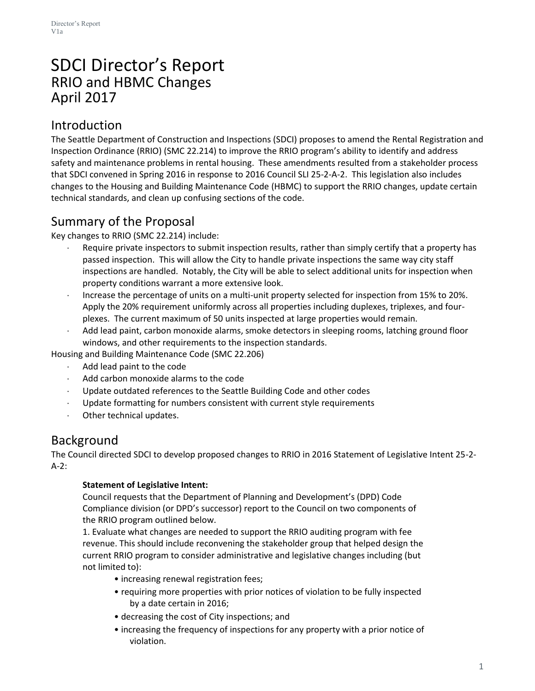# SDCI Director's Report RRIO and HBMC Changes April 2017

### Introduction

The Seattle Department of Construction and Inspections (SDCI) proposes to amend the Rental Registration and Inspection Ordinance (RRIO) (SMC 22.214) to improve the RRIO program's ability to identify and address safety and maintenance problems in rental housing. These amendments resulted from a stakeholder process that SDCI convened in Spring 2016 in response to 2016 Council SLI 25-2-A-2. This legislation also includes changes to the Housing and Building Maintenance Code (HBMC) to support the RRIO changes, update certain technical standards, and clean up confusing sections of the code.

## Summary of the Proposal

Key changes to RRIO (SMC 22.214) include:

- Require private inspectors to submit inspection results, rather than simply certify that a property has passed inspection. This will allow the City to handle private inspections the same way city staff inspections are handled. Notably, the City will be able to select additional units for inspection when property conditions warrant a more extensive look.
- Increase the percentage of units on a multi-unit property selected for inspection from 15% to 20%. Apply the 20% requirement uniformly across all properties including duplexes, triplexes, and fourplexes. The current maximum of 50 units inspected at large properties would remain.
- Add lead paint, carbon monoxide alarms, smoke detectors in sleeping rooms, latching ground floor windows, and other requirements to the inspection standards.

Housing and Building Maintenance Code (SMC 22.206)

- Add lead paint to the code
- Add carbon monoxide alarms to the code
- Update outdated references to the Seattle Building Code and other codes
- Update formatting for numbers consistent with current style requirements
- Other technical updates.

## Background

The Council directed SDCI to develop proposed changes to RRIO in 2016 Statement of Legislative Intent 25-2- A-2:

### **Statement of Legislative Intent:**

Council requests that the Department of Planning and Development's (DPD) Code Compliance division (or DPD's successor) report to the Council on two components of the RRIO program outlined below.

1. Evaluate what changes are needed to support the RRIO auditing program with fee revenue. This should include reconvening the stakeholder group that helped design the current RRIO program to consider administrative and legislative changes including (but not limited to):

- increasing renewal registration fees;
- requiring more properties with prior notices of violation to be fully inspected by a date certain in 2016;
- decreasing the cost of City inspections; and
- increasing the frequency of inspections for any property with a prior notice of violation.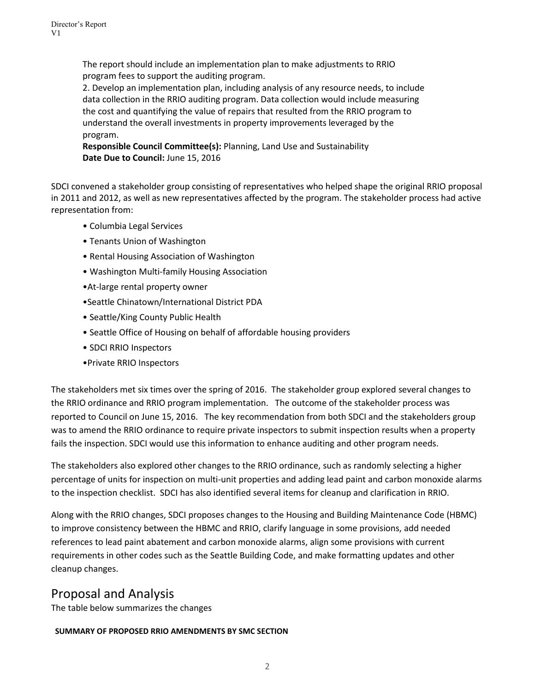The report should include an implementation plan to make adjustments to RRIO program fees to support the auditing program.

2. Develop an implementation plan, including analysis of any resource needs, to include data collection in the RRIO auditing program. Data collection would include measuring the cost and quantifying the value of repairs that resulted from the RRIO program to understand the overall investments in property improvements leveraged by the program.

**Responsible Council Committee(s):** Planning, Land Use and Sustainability **Date Due to Council:** June 15, 2016

SDCI convened a stakeholder group consisting of representatives who helped shape the original RRIO proposal in 2011 and 2012, as well as new representatives affected by the program. The stakeholder process had active representation from:

- Columbia Legal Services
- Tenants Union of Washington
- Rental Housing Association of Washington
- Washington Multi-family Housing Association
- •At-large rental property owner
- •Seattle Chinatown/International District PDA
- Seattle/King County Public Health
- Seattle Office of Housing on behalf of affordable housing providers
- SDCI RRIO Inspectors
- •Private RRIO Inspectors

The stakeholders met six times over the spring of 2016. The stakeholder group explored several changes to the RRIO ordinance and RRIO program implementation. The outcome of the stakeholder process was reported to Council on June 15, 2016. The key recommendation from both SDCI and the stakeholders group was to amend the RRIO ordinance to require private inspectors to submit inspection results when a property fails the inspection. SDCI would use this information to enhance auditing and other program needs.

The stakeholders also explored other changes to the RRIO ordinance, such as randomly selecting a higher percentage of units for inspection on multi-unit properties and adding lead paint and carbon monoxide alarms to the inspection checklist. SDCI has also identified several items for cleanup and clarification in RRIO.

Along with the RRIO changes, SDCI proposes changes to the Housing and Building Maintenance Code (HBMC) to improve consistency between the HBMC and RRIO, clarify language in some provisions, add needed references to lead paint abatement and carbon monoxide alarms, align some provisions with current requirements in other codes such as the Seattle Building Code, and make formatting updates and other cleanup changes.

## Proposal and Analysis

The table below summarizes the changes

#### **SUMMARY OF PROPOSED RRIO AMENDMENTS BY SMC SECTION**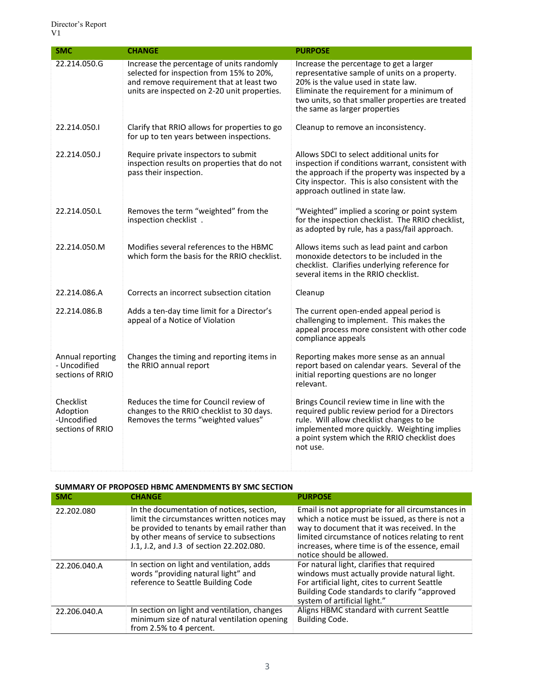| <b>SMC</b>                                               | <b>CHANGE</b>                                                                                                                                                                     | <b>PURPOSE</b>                                                                                                                                                                                                                                                      |
|----------------------------------------------------------|-----------------------------------------------------------------------------------------------------------------------------------------------------------------------------------|---------------------------------------------------------------------------------------------------------------------------------------------------------------------------------------------------------------------------------------------------------------------|
| 22.214.050.G                                             | Increase the percentage of units randomly<br>selected for inspection from 15% to 20%,<br>and remove requirement that at least two<br>units are inspected on 2-20 unit properties. | Increase the percentage to get a larger<br>representative sample of units on a property.<br>20% is the value used in state law.<br>Eliminate the requirement for a minimum of<br>two units, so that smaller properties are treated<br>the same as larger properties |
| 22.214.050.1                                             | Clarify that RRIO allows for properties to go<br>for up to ten years between inspections.                                                                                         | Cleanup to remove an inconsistency.                                                                                                                                                                                                                                 |
| 22.214.050.J                                             | Require private inspectors to submit<br>inspection results on properties that do not<br>pass their inspection.                                                                    | Allows SDCI to select additional units for<br>inspection if conditions warrant, consistent with<br>the approach if the property was inspected by a<br>City inspector. This is also consistent with the<br>approach outlined in state law.                           |
| 22.214.050.L                                             | Removes the term "weighted" from the<br>inspection checklist.                                                                                                                     | "Weighted" implied a scoring or point system<br>for the inspection checklist. The RRIO checklist,<br>as adopted by rule, has a pass/fail approach.                                                                                                                  |
| 22.214.050.M                                             | Modifies several references to the HBMC<br>which form the basis for the RRIO checklist.                                                                                           | Allows items such as lead paint and carbon<br>monoxide detectors to be included in the<br>checklist. Clarifies underlying reference for<br>several items in the RRIO checklist.                                                                                     |
| 22.214.086.A                                             | Corrects an incorrect subsection citation                                                                                                                                         | Cleanup                                                                                                                                                                                                                                                             |
| 22.214.086.B                                             | Adds a ten-day time limit for a Director's<br>appeal of a Notice of Violation                                                                                                     | The current open-ended appeal period is<br>challenging to implement. This makes the<br>appeal process more consistent with other code<br>compliance appeals                                                                                                         |
| Annual reporting<br>- Uncodified<br>sections of RRIO     | Changes the timing and reporting items in<br>the RRIO annual report                                                                                                               | Reporting makes more sense as an annual<br>report based on calendar years. Several of the<br>initial reporting questions are no longer<br>relevant.                                                                                                                 |
| Checklist<br>Adoption<br>-Uncodified<br>sections of RRIO | Reduces the time for Council review of<br>changes to the RRIO checklist to 30 days.<br>Removes the terms "weighted values"                                                        | Brings Council review time in line with the<br>required public review period for a Directors<br>rule. Will allow checklist changes to be<br>implemented more quickly. Weighting implies<br>a point system which the RRIO checklist does<br>not use.                 |

#### **SUMMARY OF PROPOSED HBMC AMENDMENTS BY SMC SECTION**

| <b>SMC</b>   | <b>CHANGE</b>                                                                                                                                                                                                                   | <b>PURPOSE</b>                                                                                                                                                                                                                                                                           |
|--------------|---------------------------------------------------------------------------------------------------------------------------------------------------------------------------------------------------------------------------------|------------------------------------------------------------------------------------------------------------------------------------------------------------------------------------------------------------------------------------------------------------------------------------------|
| 22.202.080   | In the documentation of notices, section,<br>limit the circumstances written notices may<br>be provided to tenants by email rather than<br>by other means of service to subsections<br>J.1, J.2, and J.3 of section 22.202.080. | Email is not appropriate for all circumstances in<br>which a notice must be issued, as there is not a<br>way to document that it was received. In the<br>limited circumstance of notices relating to rent<br>increases, where time is of the essence, email<br>notice should be allowed. |
| 22.206.040.A | In section on light and ventilation, adds<br>words "providing natural light" and<br>reference to Seattle Building Code                                                                                                          | For natural light, clarifies that required<br>windows must actually provide natural light.<br>For artificial light, cites to current Seattle<br>Building Code standards to clarify "approved<br>system of artificial light."                                                             |
| 22.206.040.A | In section on light and ventilation, changes<br>minimum size of natural ventilation opening<br>from 2.5% to 4 percent.                                                                                                          | Aligns HBMC standard with current Seattle<br>Building Code.                                                                                                                                                                                                                              |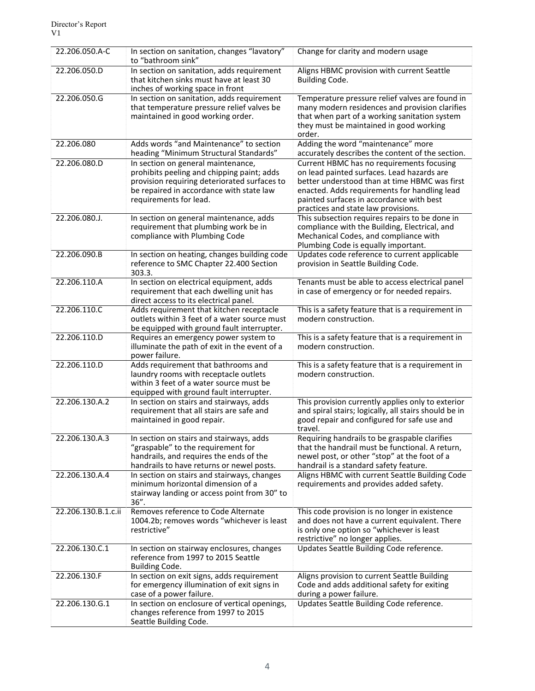| 22.206.050.A-C      | In section on sanitation, changes "lavatory"<br>to "bathroom sink"                                                                                                                                     | Change for clarity and modern usage                                                                                                                                                                                                                                         |
|---------------------|--------------------------------------------------------------------------------------------------------------------------------------------------------------------------------------------------------|-----------------------------------------------------------------------------------------------------------------------------------------------------------------------------------------------------------------------------------------------------------------------------|
| 22.206.050.D        | In section on sanitation, adds requirement<br>that kitchen sinks must have at least 30<br>inches of working space in front                                                                             | Aligns HBMC provision with current Seattle<br>Building Code.                                                                                                                                                                                                                |
| 22.206.050.G        | In section on sanitation, adds requirement<br>that temperature pressure relief valves be<br>maintained in good working order.                                                                          | Temperature pressure relief valves are found in<br>many modern residences and provision clarifies<br>that when part of a working sanitation system<br>they must be maintained in good working<br>order.                                                                     |
| 22.206.080          | Adds words "and Maintenance" to section<br>heading "Minimum Structural Standards"                                                                                                                      | Adding the word "maintenance" more<br>accurately describes the content of the section.                                                                                                                                                                                      |
| 22.206.080.D        | In section on general maintenance,<br>prohibits peeling and chipping paint; adds<br>provision requiring deteriorated surfaces to<br>be repaired in accordance with state law<br>requirements for lead. | Current HBMC has no requirements focusing<br>on lead painted surfaces. Lead hazards are<br>better understood than at time HBMC was first<br>enacted. Adds requirements for handling lead<br>painted surfaces in accordance with best<br>practices and state law provisions. |
| 22.206.080.J.       | In section on general maintenance, adds<br>requirement that plumbing work be in<br>compliance with Plumbing Code                                                                                       | This subsection requires repairs to be done in<br>compliance with the Building, Electrical, and<br>Mechanical Codes, and compliance with<br>Plumbing Code is equally important.                                                                                             |
| 22.206.090.B        | In section on heating, changes building code<br>reference to SMC Chapter 22.400 Section<br>303.3.                                                                                                      | Updates code reference to current applicable<br>provision in Seattle Building Code.                                                                                                                                                                                         |
| 22.206.110.A        | In section on electrical equipment, adds<br>requirement that each dwelling unit has<br>direct access to its electrical panel.                                                                          | Tenants must be able to access electrical panel<br>in case of emergency or for needed repairs.                                                                                                                                                                              |
| 22.206.110.C        | Adds requirement that kitchen receptacle<br>outlets within 3 feet of a water source must<br>be equipped with ground fault interrupter.                                                                 | This is a safety feature that is a requirement in<br>modern construction.                                                                                                                                                                                                   |
| 22.206.110.D        | Requires an emergency power system to<br>illuminate the path of exit in the event of a<br>power failure.                                                                                               | This is a safety feature that is a requirement in<br>modern construction.                                                                                                                                                                                                   |
| 22.206.110.D        | Adds requirement that bathrooms and<br>laundry rooms with receptacle outlets<br>within 3 feet of a water source must be<br>equipped with ground fault interrupter.                                     | This is a safety feature that is a requirement in<br>modern construction.                                                                                                                                                                                                   |
| 22.206.130.A.2      | In section on stairs and stairways, adds<br>requirement that all stairs are safe and<br>maintained in good repair.                                                                                     | This provision currently applies only to exterior<br>and spiral stairs; logically, all stairs should be in<br>good repair and configured for safe use and<br>travel.                                                                                                        |
| 22.206.130.A.3      | In section on stairs and stairways, adds<br>"graspable" to the requirement for<br>handrails, and requires the ends of the<br>handrails to have returns or newel posts.                                 | Requiring handrails to be graspable clarifies<br>that the handrail must be functional. A return,<br>newel post, or other "stop" at the foot of a<br>handrail is a standard safety feature.                                                                                  |
| 22.206.130.A.4      | In section on stairs and stairways, changes<br>minimum horizontal dimension of a<br>stairway landing or access point from 30" to<br>$36''$ .                                                           | Aligns HBMC with current Seattle Building Code<br>requirements and provides added safety.                                                                                                                                                                                   |
| 22.206.130.B.1.c.ii | Removes reference to Code Alternate<br>1004.2b; removes words "whichever is least<br>restrictive"                                                                                                      | This code provision is no longer in existence<br>and does not have a current equivalent. There<br>is only one option so "whichever is least<br>restrictive" no longer applies.                                                                                              |
| 22.206.130.C.1      | In section on stairway enclosures, changes<br>reference from 1997 to 2015 Seattle<br>Building Code.                                                                                                    | Updates Seattle Building Code reference.                                                                                                                                                                                                                                    |
| 22.206.130.F        | In section on exit signs, adds requirement<br>for emergency illumination of exit signs in<br>case of a power failure.                                                                                  | Aligns provision to current Seattle Building<br>Code and adds additional safety for exiting<br>during a power failure.                                                                                                                                                      |
| 22.206.130.G.1      | In section on enclosure of vertical openings,<br>changes reference from 1997 to 2015<br>Seattle Building Code.                                                                                         | Updates Seattle Building Code reference.                                                                                                                                                                                                                                    |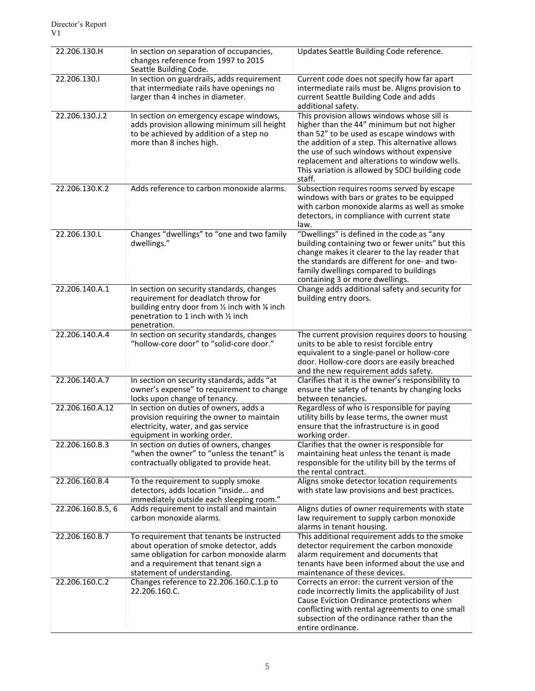| 22.206.130.H      | In section on separation of occupancies,<br>changes reference from 1997 to 2015<br>Seattle Building Code.                                                                                                | Updates Seattle Building Code reference.                                                                                                                                                                                                                                                                                                             |
|-------------------|----------------------------------------------------------------------------------------------------------------------------------------------------------------------------------------------------------|------------------------------------------------------------------------------------------------------------------------------------------------------------------------------------------------------------------------------------------------------------------------------------------------------------------------------------------------------|
| 22.206.130.1      | In section on guardrails, adds requirement<br>that intermediate rails have openings no<br>larger than 4 inches in diameter.                                                                              | Current code does not specify how far apart<br>intermediate rails must be. Aligns provision to<br>current Seattle Building Code and adds<br>additional safety.                                                                                                                                                                                       |
| 22.206.130.J.2    | In section on emergency escape windows,<br>adds provision allowing minimum sill height<br>to be achieved by addition of a step no<br>more than 8 inches high.                                            | This provision allows windows whose sill is<br>higher than the 44" minimum but not higher<br>than 52" to be used as escape windows with<br>the addition of a step. This alternative allows<br>the use of such windows without expensive<br>replacement and alterations to window wells.<br>This variation is allowed by SDCI building code<br>staff. |
| 22.206.130.K.2    | Adds reference to carbon monoxide alarms.                                                                                                                                                                | Subsection requires rooms served by escape<br>windows with bars or grates to be equipped<br>with carbon monoxide alarms as well as smoke<br>detectors, in compliance with current state<br>law.                                                                                                                                                      |
| 22.206.130.L      | Changes "dwellings" to "one and two family<br>dwellings."                                                                                                                                                | "Dwellings" is defined in the code as "any<br>building containing two or fewer units" but this<br>change makes it clearer to the lay reader that<br>the standards are different for one- and two-<br>family dwellings compared to buildings<br>containing 3 or more dwellings.                                                                       |
| 22.206.140.A.1    | In section on security standards, changes<br>requirement for deadlatch throw for<br>building entry door from 1/2 inch with 1/4 inch<br>penetration to 1 inch with 1/2 inch<br>penetration.               | Change adds additional safety and security for<br>building entry doors.                                                                                                                                                                                                                                                                              |
| 22.206.140.A.4    | In section on security standards, changes<br>"hollow-core door" to "solid-core door."                                                                                                                    | The current provision requires doors to housing<br>units to be able to resist forcible entry<br>equivalent to a single-panel or hollow-core<br>door. Hollow-core doors are easily breached<br>and the new requirement adds safety.                                                                                                                   |
| 22.206.140.A.7    | In section on security standards, adds "at<br>owner's expense" to requirement to change<br>locks upon change of tenancy.                                                                                 | Clarifies that it is the owner's responsibility to<br>ensure the safety of tenants by changing locks<br>between tenancies.                                                                                                                                                                                                                           |
| 22.206.160.A.12   | In section on duties of owners, adds a<br>provision requiring the owner to maintain<br>electricity, water, and gas service<br>equipment in working order.                                                | Regardless of who is responsible for paying<br>utility bills by lease terms, the owner must<br>ensure that the infrastructure is in good<br>working order.                                                                                                                                                                                           |
| 22.206.160.B.3    | In section on duties of owners, changes<br>"when the owner" to "unless the tenant" is<br>contractually obligated to provide heat.                                                                        | Clarifies that the owner is responsible for<br>maintaining heat unless the tenant is made<br>responsible for the utility bill by the terms of<br>the rental contract.                                                                                                                                                                                |
| 22.206.160.B.4    | To the requirement to supply smoke<br>detectors, adds location "inside and<br>immediately outside each sleeping room."                                                                                   | Aligns smoke detector location requirements<br>with state law provisions and best practices.                                                                                                                                                                                                                                                         |
| 22.206.160.B.5, 6 | Adds requirement to install and maintain<br>carbon monoxide alarms.                                                                                                                                      | Aligns duties of owner requirements with state<br>law requirement to supply carbon monoxide<br>alarms in tenant housing.                                                                                                                                                                                                                             |
| 22.206.160.B.7    | To requirement that tenants be instructed<br>about operation of smoke detector, adds<br>same obligation for carbon monoxide alarm<br>and a requirement that tenant sign a<br>statement of understanding. | This additional requirement adds to the smoke<br>detector requirement the carbon monoxide<br>alarm requirement and documents that<br>tenants have been informed about the use and<br>maintenance of these devices.                                                                                                                                   |
| 22.206.160.C.2    | Changes reference to 22.206.160.C.1.p to<br>22.206.160.C.                                                                                                                                                | Corrects an error: the current version of the<br>code incorrectly limits the applicability of Just<br>Cause Eviction Ordinance protections when<br>conflicting with rental agreements to one small<br>subsection of the ordinance rather than the<br>entire ordinance.                                                                               |